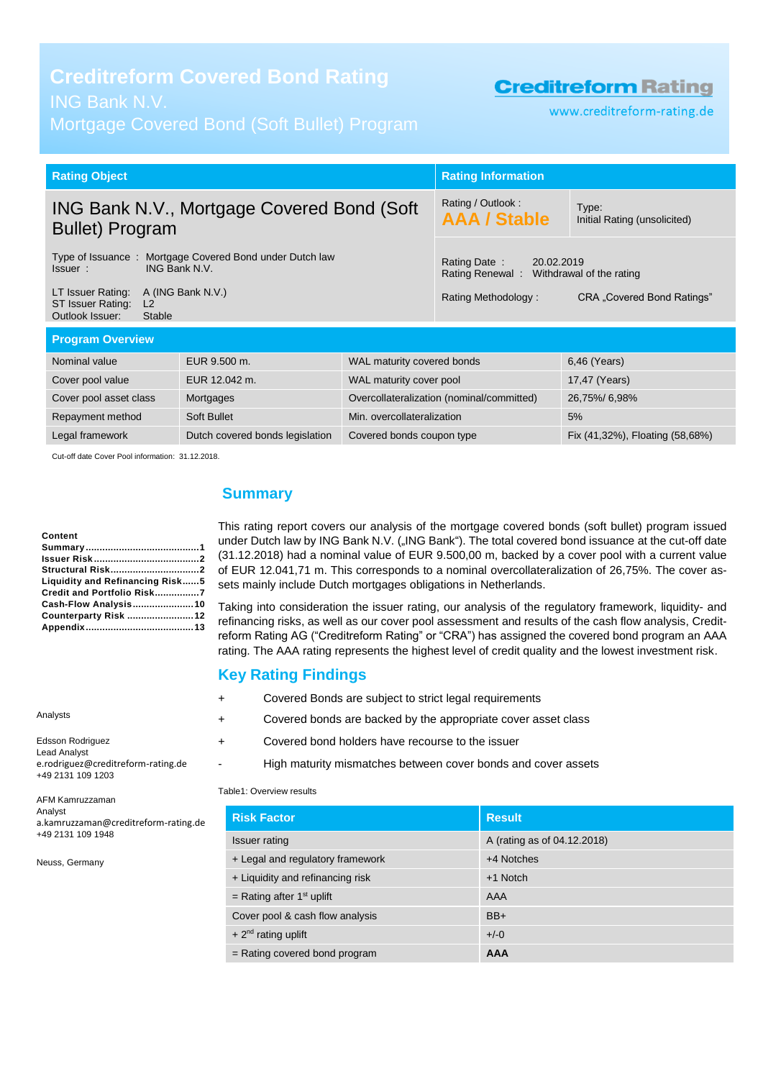# **Creditreform Covered Bond Rating**

# ING Bank N.V.

Mortgage Covered Bond (Soft Bullet) Program

# **Creditreform Rating**

www.creditreform-rating.de

| <b>Rating Object</b>                                                                                       |               | <b>Rating Information</b>                                              |                                       |               |
|------------------------------------------------------------------------------------------------------------|---------------|------------------------------------------------------------------------|---------------------------------------|---------------|
| ING Bank N.V., Mortgage Covered Bond (Soft)<br><b>Bullet) Program</b>                                      |               | Rating / Outlook:<br><b>AAA / Stable</b>                               | Type:<br>Initial Rating (unsolicited) |               |
| Type of Issuance: Mortgage Covered Bond under Dutch law<br><b>ING Bank N.V.</b><br>Issuer:                 |               | Rating Date:<br>20.02.2019<br>Rating Renewal: Withdrawal of the rating |                                       |               |
| A (ING Bank N.V.)<br>LT Issuer Rating:<br>ST Issuer Rating:<br>L <sub>2</sub><br>Outlook Issuer:<br>Stable |               | Rating Methodology:                                                    | CRA "Covered Bond Ratings"            |               |
| <b>Program Overview</b>                                                                                    |               |                                                                        |                                       |               |
| Nominal value                                                                                              | EUR 9.500 m.  | WAL maturity covered bonds                                             |                                       | 6,46 (Years)  |
| Cover pool value                                                                                           | EUR 12.042 m. | WAL maturity cover pool                                                |                                       | 17,47 (Years) |
| Cover pool asset class<br>Mortgages                                                                        |               | Overcollateralization (nominal/committed)                              | 26,75%/6,98%                          |               |
| Repayment method                                                                                           | Soft Bullet   | Min. overcollateralization                                             |                                       | 5%            |
| Legal framework<br>Dutch covered bonds legislation<br>Covered bonds coupon type                            |               |                                                                        | Fix (41,32%), Floating (58,68%)       |               |
|                                                                                                            |               |                                                                        |                                       |               |

Cut-off date Cover Pool information: 31.12.2018.

#### **Content**

| Content                         |  |
|---------------------------------|--|
|                                 |  |
|                                 |  |
| Structural Risk2                |  |
| Liquidity and Refinancing Risk5 |  |
| Credit and Portfolio Risk7      |  |
| Cash-Flow Analysis10            |  |
| Counterparty Risk 12            |  |
|                                 |  |
|                                 |  |

<span id="page-0-0"></span>**Summary**

This rating report covers our analysis of the mortgage covered bonds (soft bullet) program issued under Dutch law by ING Bank N.V. ("ING Bank"). The total covered bond issuance at the cut-off date (31.12.2018) had a nominal value of EUR 9.500,00 m, backed by a cover pool with a current value of EUR 12.041,71 m. This corresponds to a nominal overcollateralization of 26,75%. The cover assets mainly include Dutch mortgages obligations in Netherlands.

Taking into consideration the issuer rating, our analysis of the regulatory framework, liquidity- and refinancing risks, as well as our cover pool assessment and results of the cash flow analysis, Creditreform Rating AG ("Creditreform Rating" or "CRA") has assigned the covered bond program an AAA rating. The AAA rating represents the highest level of credit quality and the lowest investment risk.

### **Key Rating Findings**

- + Covered Bonds are subject to strict legal requirements
- + Covered bonds are backed by the appropriate cover asset class
- + Covered bond holders have recourse to the issuer
	- High maturity mismatches between cover bonds and cover assets

#### Table1: Overview results

| <b>Risk Factor</b>               | <b>Result</b>               |
|----------------------------------|-----------------------------|
| Issuer rating                    | A (rating as of 04.12.2018) |
| + Legal and regulatory framework | +4 Notches                  |
| + Liquidity and refinancing risk | +1 Notch                    |
| = Rating after $1st$ uplift      | AAA                         |
| Cover pool & cash flow analysis  | $BB+$                       |
| $+ 2nd$ rating uplift            | $+/-0$                      |
| $=$ Rating covered bond program  | <b>AAA</b>                  |

#### Analysts

Edsson Rodriguez Lead Analyst e.rodriguez@creditreform-rating.de +49 2131 109 1203

AFM Kamruzzaman Analyst a.kamruzzaman@creditreform-rating.de +49 2131 109 1948

Neuss, Germany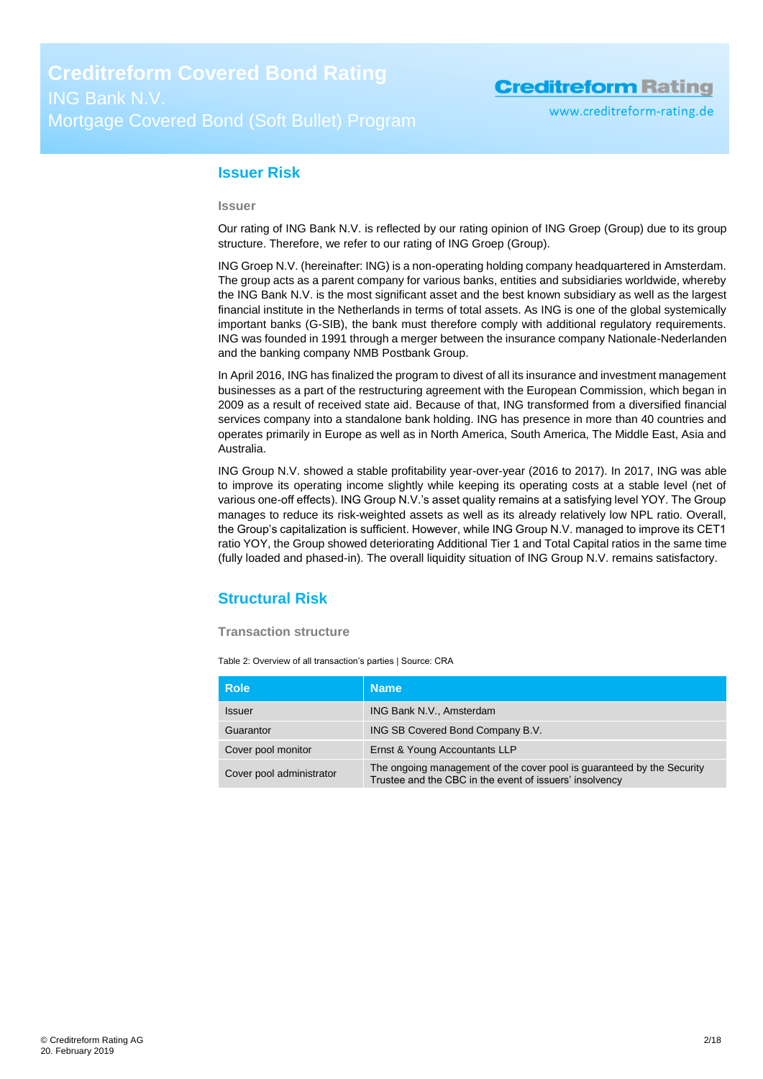#### <span id="page-1-0"></span>**Issuer Risk**

#### **Issuer**

Our rating of ING Bank N.V. is reflected by our rating opinion of ING Groep (Group) due to its group structure. Therefore, we refer to our rating of ING Groep (Group).

ING Groep N.V. (hereinafter: ING) is a non-operating holding company headquartered in Amsterdam. The group acts as a parent company for various banks, entities and subsidiaries worldwide, whereby the ING Bank N.V. is the most significant asset and the best known subsidiary as well as the largest financial institute in the Netherlands in terms of total assets. As ING is one of the global systemically important banks (G-SIB), the bank must therefore comply with additional regulatory requirements. ING was founded in 1991 through a merger between the insurance company Nationale-Nederlanden and the banking company NMB Postbank Group.

In April 2016, ING has finalized the program to divest of all its insurance and investment management businesses as a part of the restructuring agreement with the European Commission, which began in 2009 as a result of received state aid. Because of that, ING transformed from a diversified financial services company into a standalone bank holding. ING has presence in more than 40 countries and operates primarily in Europe as well as in North America, South America, The Middle East, Asia and Australia.

ING Group N.V. showed a stable profitability year-over-year (2016 to 2017). In 2017, ING was able to improve its operating income slightly while keeping its operating costs at a stable level (net of various one-off effects). ING Group N.V.'s asset quality remains at a satisfying level YOY. The Group manages to reduce its risk-weighted assets as well as its already relatively low NPL ratio. Overall, the Group's capitalization is sufficient. However, while ING Group N.V. managed to improve its CET1 ratio YOY, the Group showed deteriorating Additional Tier 1 and Total Capital ratios in the same time (fully loaded and phased-in). The overall liquidity situation of ING Group N.V. remains satisfactory.

### <span id="page-1-1"></span>**Structural Risk**

#### **Transaction structure**

Table 2: Overview of all transaction's parties | Source: CRA

| <b>Role</b>              | <b>Name</b>                                                                                                                       |
|--------------------------|-----------------------------------------------------------------------------------------------------------------------------------|
| <b>Issuer</b>            | ING Bank N.V., Amsterdam                                                                                                          |
| Guarantor                | ING SB Covered Bond Company B.V.                                                                                                  |
| Cover pool monitor       | Ernst & Young Accountants LLP                                                                                                     |
| Cover pool administrator | The ongoing management of the cover pool is guaranteed by the Security<br>Trustee and the CBC in the event of issuers' insolvency |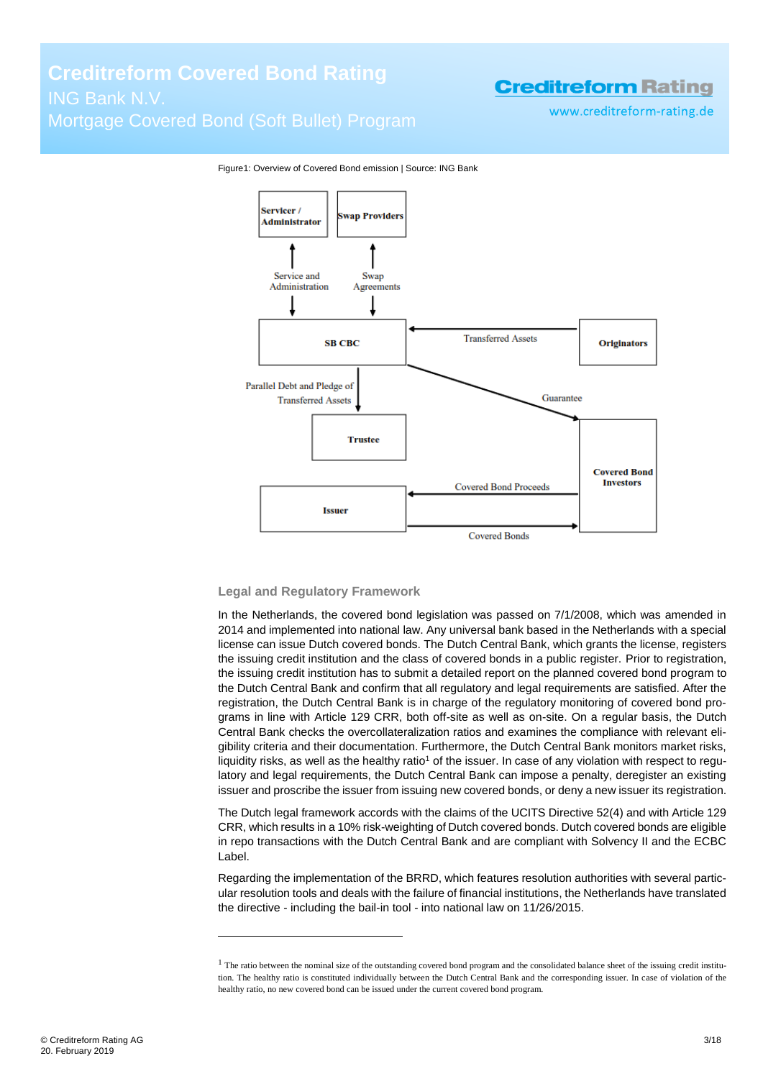www.creditreform-rating.de



Figure1: Overview of Covered Bond emission | Source: ING Bank

#### **Legal and Regulatory Framework**

In the Netherlands, the covered bond legislation was passed on 7/1/2008, which was amended in 2014 and implemented into national law. Any universal bank based in the Netherlands with a special license can issue Dutch covered bonds. The Dutch Central Bank, which grants the license, registers the issuing credit institution and the class of covered bonds in a public register. Prior to registration, the issuing credit institution has to submit a detailed report on the planned covered bond program to the Dutch Central Bank and confirm that all regulatory and legal requirements are satisfied. After the registration, the Dutch Central Bank is in charge of the regulatory monitoring of covered bond programs in line with Article 129 CRR, both off-site as well as on-site. On a regular basis, the Dutch Central Bank checks the overcollateralization ratios and examines the compliance with relevant eligibility criteria and their documentation. Furthermore, the Dutch Central Bank monitors market risks, liquidity risks, as well as the healthy ratio<sup>1</sup> of the issuer. In case of any violation with respect to regulatory and legal requirements, the Dutch Central Bank can impose a penalty, deregister an existing issuer and proscribe the issuer from issuing new covered bonds, or deny a new issuer its registration.

The Dutch legal framework accords with the claims of the UCITS Directive 52(4) and with Article 129 CRR, which results in a 10% risk-weighting of Dutch covered bonds. Dutch covered bonds are eligible in repo transactions with the Dutch Central Bank and are compliant with Solvency II and the ECBC Label.

Regarding the implementation of the BRRD, which features resolution authorities with several particular resolution tools and deals with the failure of financial institutions, the Netherlands have translated the directive - including the bail-in tool - into national law on 11/26/2015.

 $\overline{a}$ 

 $1$  The ratio between the nominal size of the outstanding covered bond program and the consolidated balance sheet of the issuing credit institution. The healthy ratio is constituted individually between the Dutch Central Bank and the corresponding issuer. In case of violation of the healthy ratio, no new covered bond can be issued under the current covered bond program.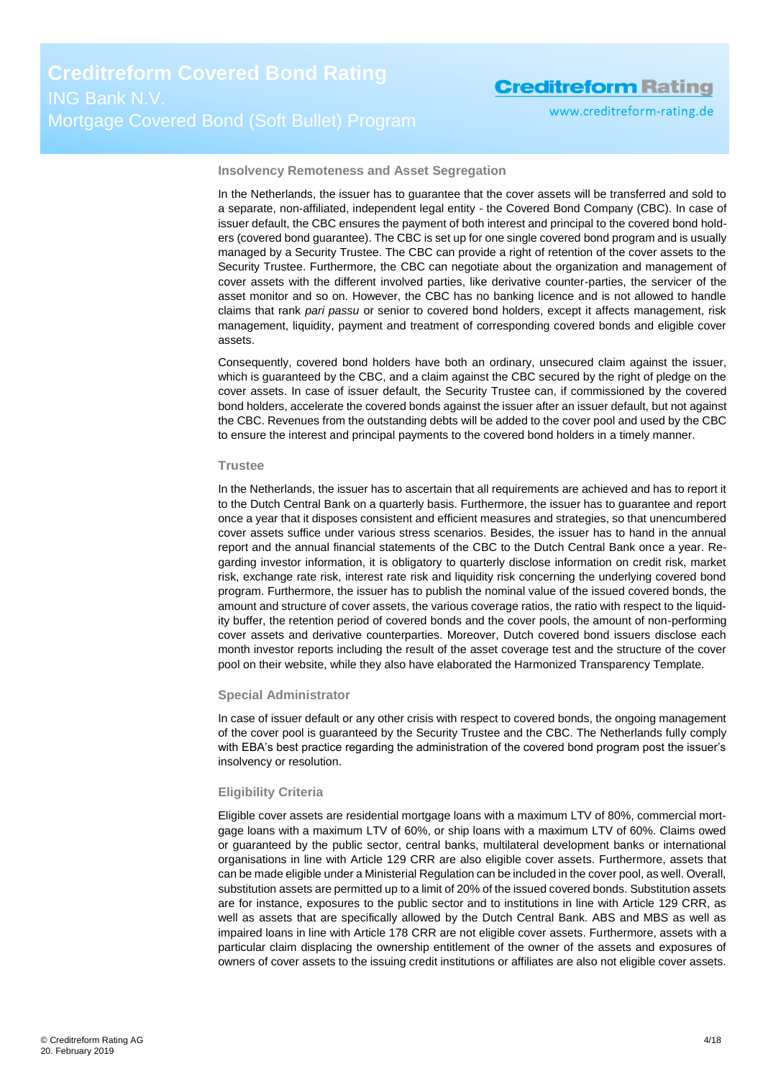www.creditreform-rating.de

**Insolvency Remoteness and Asset Segregation**

In the Netherlands, the issuer has to guarantee that the cover assets will be transferred and sold to a separate, non-affiliated, independent legal entity - the Covered Bond Company (CBC). In case of issuer default, the CBC ensures the payment of both interest and principal to the covered bond holders (covered bond guarantee). The CBC is set up for one single covered bond program and is usually managed by a Security Trustee. The CBC can provide a right of retention of the cover assets to the Security Trustee. Furthermore, the CBC can negotiate about the organization and management of cover assets with the different involved parties, like derivative counter-parties, the servicer of the asset monitor and so on. However, the CBC has no banking licence and is not allowed to handle claims that rank *pari passu* or senior to covered bond holders, except it affects management, risk management, liquidity, payment and treatment of corresponding covered bonds and eligible cover assets.

Consequently, covered bond holders have both an ordinary, unsecured claim against the issuer, which is guaranteed by the CBC, and a claim against the CBC secured by the right of pledge on the cover assets. In case of issuer default, the Security Trustee can, if commissioned by the covered bond holders, accelerate the covered bonds against the issuer after an issuer default, but not against the CBC. Revenues from the outstanding debts will be added to the cover pool and used by the CBC to ensure the interest and principal payments to the covered bond holders in a timely manner.

#### **Trustee**

In the Netherlands, the issuer has to ascertain that all requirements are achieved and has to report it to the Dutch Central Bank on a quarterly basis. Furthermore, the issuer has to guarantee and report once a year that it disposes consistent and efficient measures and strategies, so that unencumbered cover assets suffice under various stress scenarios. Besides, the issuer has to hand in the annual report and the annual financial statements of the CBC to the Dutch Central Bank once a year. Regarding investor information, it is obligatory to quarterly disclose information on credit risk, market risk, exchange rate risk, interest rate risk and liquidity risk concerning the underlying covered bond program. Furthermore, the issuer has to publish the nominal value of the issued covered bonds, the amount and structure of cover assets, the various coverage ratios, the ratio with respect to the liquidity buffer, the retention period of covered bonds and the cover pools, the amount of non-performing cover assets and derivative counterparties. Moreover, Dutch covered bond issuers disclose each month investor reports including the result of the asset coverage test and the structure of the cover pool on their website, while they also have elaborated the Harmonized Transparency Template.

#### **Special Administrator**

In case of issuer default or any other crisis with respect to covered bonds, the ongoing management of the cover pool is guaranteed by the Security Trustee and the CBC. The Netherlands fully comply with EBA's best practice regarding the administration of the covered bond program post the issuer's insolvency or resolution.

#### **Eligibility Criteria**

Eligible cover assets are residential mortgage loans with a maximum LTV of 80%, commercial mortgage loans with a maximum LTV of 60%, or ship loans with a maximum LTV of 60%. Claims owed or guaranteed by the public sector, central banks, multilateral development banks or international organisations in line with Article 129 CRR are also eligible cover assets. Furthermore, assets that can be made eligible under a Ministerial Regulation can be included in the cover pool, as well. Overall, substitution assets are permitted up to a limit of 20% of the issued covered bonds. Substitution assets are for instance, exposures to the public sector and to institutions in line with Article 129 CRR, as well as assets that are specifically allowed by the Dutch Central Bank. ABS and MBS as well as impaired loans in line with Article 178 CRR are not eligible cover assets. Furthermore, assets with a particular claim displacing the ownership entitlement of the owner of the assets and exposures of owners of cover assets to the issuing credit institutions or affiliates are also not eligible cover assets.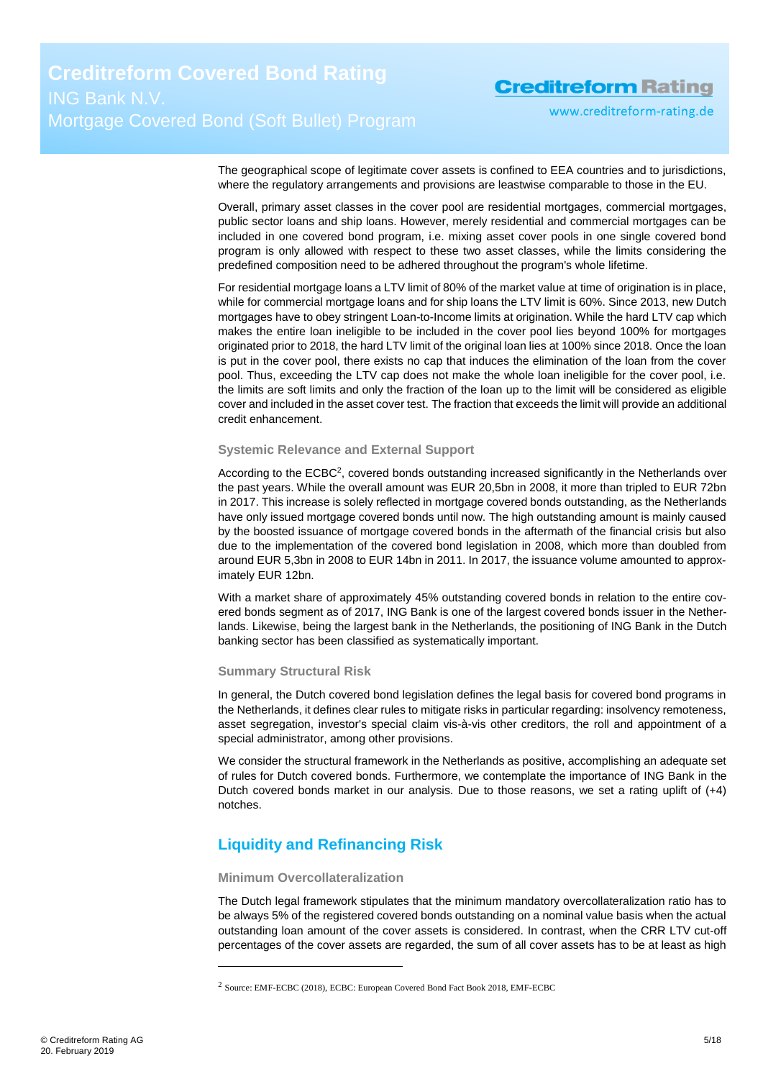www.creditreform-rating.de

The geographical scope of legitimate cover assets is confined to EEA countries and to jurisdictions, where the regulatory arrangements and provisions are leastwise comparable to those in the EU.

Overall, primary asset classes in the cover pool are residential mortgages, commercial mortgages, public sector loans and ship loans. However, merely residential and commercial mortgages can be included in one covered bond program, i.e. mixing asset cover pools in one single covered bond program is only allowed with respect to these two asset classes, while the limits considering the predefined composition need to be adhered throughout the program's whole lifetime.

For residential mortgage loans a LTV limit of 80% of the market value at time of origination is in place, while for commercial mortgage loans and for ship loans the LTV limit is 60%. Since 2013, new Dutch mortgages have to obey stringent Loan-to-Income limits at origination. While the hard LTV cap which makes the entire loan ineligible to be included in the cover pool lies beyond 100% for mortgages originated prior to 2018, the hard LTV limit of the original loan lies at 100% since 2018. Once the loan is put in the cover pool, there exists no cap that induces the elimination of the loan from the cover pool. Thus, exceeding the LTV cap does not make the whole loan ineligible for the cover pool, i.e. the limits are soft limits and only the fraction of the loan up to the limit will be considered as eligible cover and included in the asset cover test. The fraction that exceeds the limit will provide an additional credit enhancement.

#### **Systemic Relevance and External Support**

According to the ECBC<sup>2</sup>, covered bonds outstanding increased significantly in the Netherlands over the past years. While the overall amount was EUR 20,5bn in 2008, it more than tripled to EUR 72bn in 2017. This increase is solely reflected in mortgage covered bonds outstanding, as the Netherlands have only issued mortgage covered bonds until now. The high outstanding amount is mainly caused by the boosted issuance of mortgage covered bonds in the aftermath of the financial crisis but also due to the implementation of the covered bond legislation in 2008, which more than doubled from around EUR 5,3bn in 2008 to EUR 14bn in 2011. In 2017, the issuance volume amounted to approximately EUR 12bn.

With a market share of approximately 45% outstanding covered bonds in relation to the entire covered bonds segment as of 2017, ING Bank is one of the largest covered bonds issuer in the Netherlands. Likewise, being the largest bank in the Netherlands, the positioning of ING Bank in the Dutch banking sector has been classified as systematically important*.*

#### **Summary Structural Risk**

In general, the Dutch covered bond legislation defines the legal basis for covered bond programs in the Netherlands, it defines clear rules to mitigate risks in particular regarding: insolvency remoteness, asset segregation, investor's special claim vis-à-vis other creditors, the roll and appointment of a special administrator, among other provisions.

We consider the structural framework in the Netherlands as positive, accomplishing an adequate set of rules for Dutch covered bonds. Furthermore, we contemplate the importance of ING Bank in the Dutch covered bonds market in our analysis. Due to those reasons, we set a rating uplift of (+4) notches.

### <span id="page-4-0"></span>**Liquidity and Refinancing Risk**

#### **Minimum Overcollateralization**

 $\overline{a}$ 

The Dutch legal framework stipulates that the minimum mandatory overcollateralization ratio has to be always 5% of the registered covered bonds outstanding on a nominal value basis when the actual outstanding loan amount of the cover assets is considered. In contrast, when the CRR LTV cut-off percentages of the cover assets are regarded, the sum of all cover assets has to be at least as high

<sup>2</sup> Source: EMF-ECBC (2018), ECBC: European Covered Bond Fact Book 2018, EMF-ECBC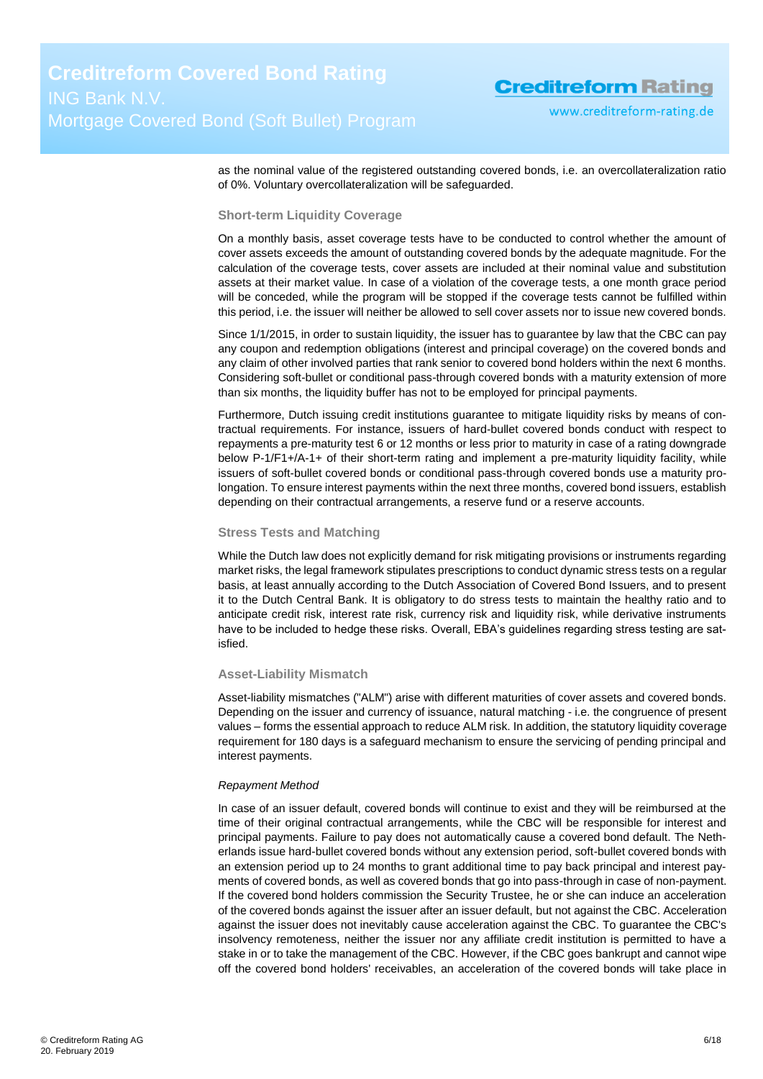as the nominal value of the registered outstanding covered bonds, i.e. an overcollateralization ratio of 0%. Voluntary overcollateralization will be safeguarded.

#### **Short-term Liquidity Coverage**

On a monthly basis, asset coverage tests have to be conducted to control whether the amount of cover assets exceeds the amount of outstanding covered bonds by the adequate magnitude. For the calculation of the coverage tests, cover assets are included at their nominal value and substitution assets at their market value. In case of a violation of the coverage tests, a one month grace period will be conceded, while the program will be stopped if the coverage tests cannot be fulfilled within this period, i.e. the issuer will neither be allowed to sell cover assets nor to issue new covered bonds.

Since 1/1/2015, in order to sustain liquidity, the issuer has to guarantee by law that the CBC can pay any coupon and redemption obligations (interest and principal coverage) on the covered bonds and any claim of other involved parties that rank senior to covered bond holders within the next 6 months. Considering soft-bullet or conditional pass-through covered bonds with a maturity extension of more than six months, the liquidity buffer has not to be employed for principal payments.

Furthermore, Dutch issuing credit institutions guarantee to mitigate liquidity risks by means of contractual requirements. For instance, issuers of hard-bullet covered bonds conduct with respect to repayments a pre-maturity test 6 or 12 months or less prior to maturity in case of a rating downgrade below P-1/F1+/A-1+ of their short-term rating and implement a pre-maturity liquidity facility, while issuers of soft-bullet covered bonds or conditional pass-through covered bonds use a maturity prolongation. To ensure interest payments within the next three months, covered bond issuers, establish depending on their contractual arrangements, a reserve fund or a reserve accounts.

#### **Stress Tests and Matching**

While the Dutch law does not explicitly demand for risk mitigating provisions or instruments regarding market risks, the legal framework stipulates prescriptions to conduct dynamic stress tests on a regular basis, at least annually according to the Dutch Association of Covered Bond Issuers, and to present it to the Dutch Central Bank. It is obligatory to do stress tests to maintain the healthy ratio and to anticipate credit risk, interest rate risk, currency risk and liquidity risk, while derivative instruments have to be included to hedge these risks. Overall, EBA's guidelines regarding stress testing are satisfied.

#### **Asset-Liability Mismatch**

Asset-liability mismatches ("ALM") arise with different maturities of cover assets and covered bonds. Depending on the issuer and currency of issuance, natural matching - i.e. the congruence of present values – forms the essential approach to reduce ALM risk. In addition, the statutory liquidity coverage requirement for 180 days is a safeguard mechanism to ensure the servicing of pending principal and interest payments.

#### *Repayment Method*

In case of an issuer default, covered bonds will continue to exist and they will be reimbursed at the time of their original contractual arrangements, while the CBC will be responsible for interest and principal payments. Failure to pay does not automatically cause a covered bond default. The Netherlands issue hard-bullet covered bonds without any extension period, soft-bullet covered bonds with an extension period up to 24 months to grant additional time to pay back principal and interest payments of covered bonds, as well as covered bonds that go into pass-through in case of non-payment. If the covered bond holders commission the Security Trustee, he or she can induce an acceleration of the covered bonds against the issuer after an issuer default, but not against the CBC. Acceleration against the issuer does not inevitably cause acceleration against the CBC. To guarantee the CBC's insolvency remoteness, neither the issuer nor any affiliate credit institution is permitted to have a stake in or to take the management of the CBC. However, if the CBC goes bankrupt and cannot wipe off the covered bond holders' receivables, an acceleration of the covered bonds will take place in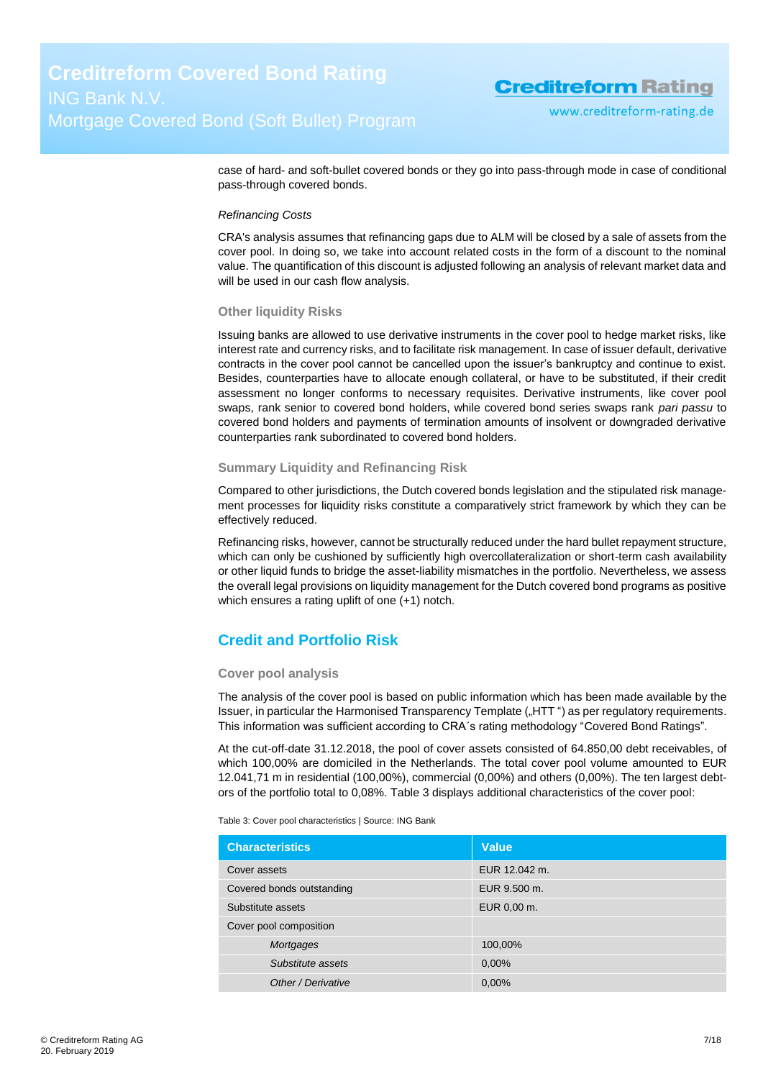case of hard- and soft-bullet covered bonds or they go into pass-through mode in case of conditional pass-through covered bonds.

#### *Refinancing Costs*

CRA's analysis assumes that refinancing gaps due to ALM will be closed by a sale of assets from the cover pool. In doing so, we take into account related costs in the form of a discount to the nominal value. The quantification of this discount is adjusted following an analysis of relevant market data and will be used in our cash flow analysis.

#### **Other liquidity Risks**

Issuing banks are allowed to use derivative instruments in the cover pool to hedge market risks, like interest rate and currency risks, and to facilitate risk management. In case of issuer default, derivative contracts in the cover pool cannot be cancelled upon the issuer's bankruptcy and continue to exist. Besides, counterparties have to allocate enough collateral, or have to be substituted, if their credit assessment no longer conforms to necessary requisites. Derivative instruments, like cover pool swaps, rank senior to covered bond holders, while covered bond series swaps rank *pari passu* to covered bond holders and payments of termination amounts of insolvent or downgraded derivative counterparties rank subordinated to covered bond holders.

#### **Summary Liquidity and Refinancing Risk**

Compared to other jurisdictions, the Dutch covered bonds legislation and the stipulated risk management processes for liquidity risks constitute a comparatively strict framework by which they can be effectively reduced.

Refinancing risks, however, cannot be structurally reduced under the hard bullet repayment structure, which can only be cushioned by sufficiently high overcollateralization or short-term cash availability or other liquid funds to bridge the asset-liability mismatches in the portfolio. Nevertheless, we assess the overall legal provisions on liquidity management for the Dutch covered bond programs as positive which ensures a rating uplift of one (+1) notch.

### <span id="page-6-0"></span>**Credit and Portfolio Risk**

#### **Cover pool analysis**

The analysis of the cover pool is based on public information which has been made available by the Issuer, in particular the Harmonised Transparency Template ("HTT") as per regulatory requirements. This information was sufficient according to CRA´s rating methodology "Covered Bond Ratings".

At the cut-off-date 31.12.2018, the pool of cover assets consisted of 64.850,00 debt receivables, of which 100,00% are domiciled in the Netherlands. The total cover pool volume amounted to EUR 12.041,71 m in residential (100,00%), commercial (0,00%) and others (0,00%). The ten largest debtors of the portfolio total to 0,08%. [Table 3](#page-6-1) displays additional characteristics of the cover pool:

<span id="page-6-1"></span>Table 3: Cover pool characteristics | Source: ING Bank

| <b>Characteristics</b>    | <b>Value</b>  |
|---------------------------|---------------|
| Cover assets              | EUR 12.042 m. |
| Covered bonds outstanding | EUR 9.500 m.  |
| Substitute assets         | EUR 0,00 m.   |
| Cover pool composition    |               |
| Mortgages                 | 100,00%       |
| Substitute assets         | 0,00%         |
| Other / Derivative        | 0,00%         |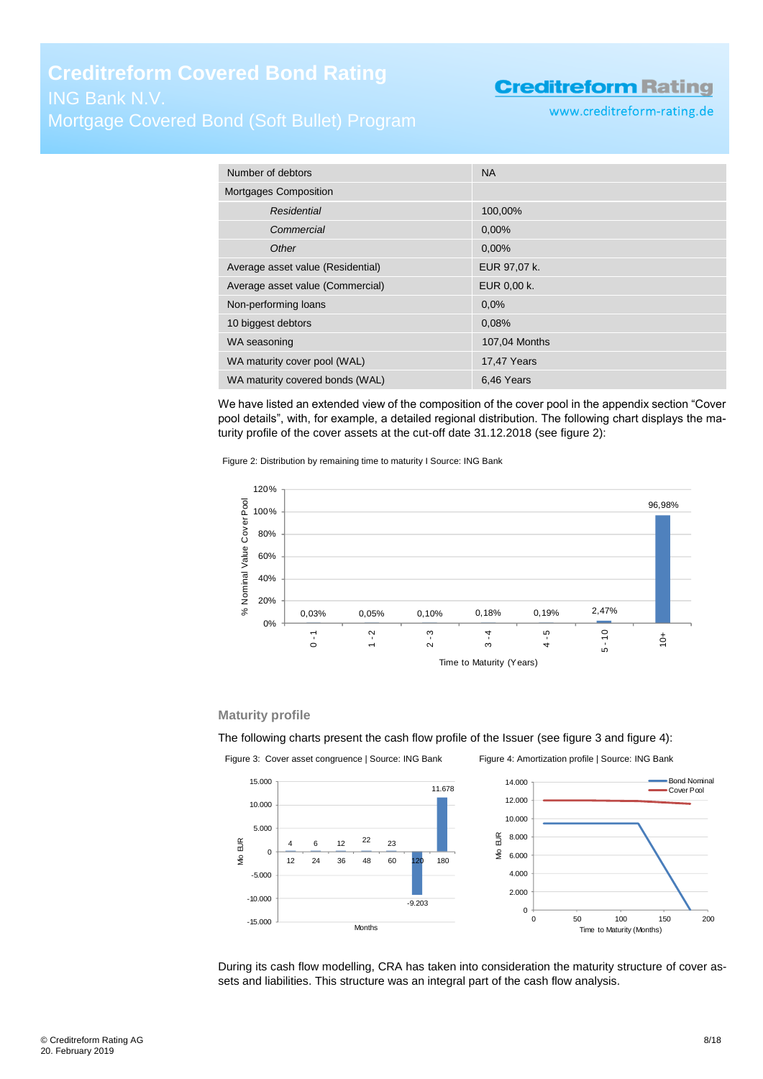www.creditreform-rating.de

| Number of debtors                 | <b>NA</b>          |
|-----------------------------------|--------------------|
| Mortgages Composition             |                    |
| Residential                       | 100,00%            |
| Commercial                        | 0.00%              |
| Other                             | 0,00%              |
| Average asset value (Residential) | EUR 97,07 k.       |
| Average asset value (Commercial)  | EUR 0,00 k.        |
| Non-performing loans              | 0.0%               |
| 10 biggest debtors                | 0,08%              |
| WA seasoning                      | 107,04 Months      |
| WA maturity cover pool (WAL)      | <b>17,47 Years</b> |
| WA maturity covered bonds (WAL)   | 6,46 Years         |

We have listed an extended view of the composition of the cover pool in the appendix section "Cover pool details", with, for example, a detailed regional distribution. The following chart displays the maturity profile of the cover assets at the cut-off date 31.12.2018 (see [figure 2\)](#page-7-0):

<span id="page-7-0"></span>Figure 2: Distribution by remaining time to maturity I Source: ING Bank



#### **Maturity profile**

The following charts present the cash flow profile of the Issuer (see [figure 3](#page-7-1) an[d figure 4\)](#page-7-2):

<span id="page-7-1"></span>

<span id="page-7-2"></span>

During its cash flow modelling, CRA has taken into consideration the maturity structure of cover assets and liabilities. This structure was an integral part of the cash flow analysis.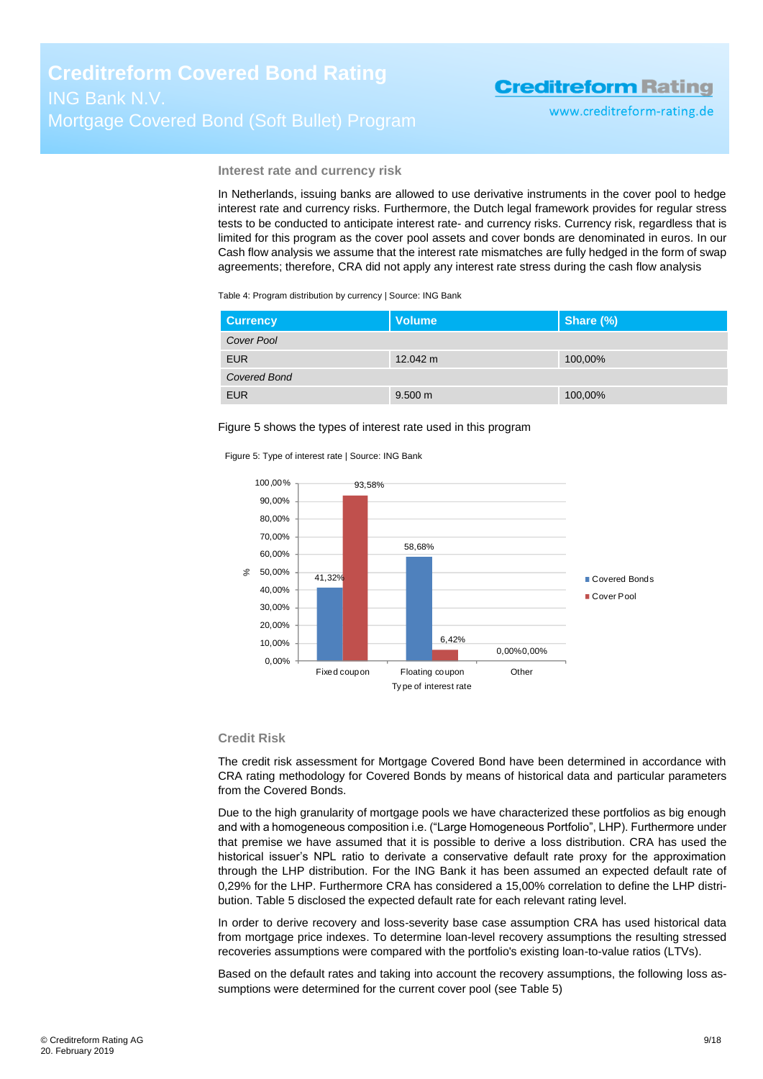www.creditreform-rating.de

**Interest rate and currency risk**

In Netherlands, issuing banks are allowed to use derivative instruments in the cover pool to hedge interest rate and currency risks. Furthermore, the Dutch legal framework provides for regular stress tests to be conducted to anticipate interest rate- and currency risks. Currency risk, regardless that is limited for this program as the cover pool assets and cover bonds are denominated in euros. In our Cash flow analysis we assume that the interest rate mismatches are fully hedged in the form of swap agreements; therefore, CRA did not apply any interest rate stress during the cash flow analysis

Table 4: Program distribution by currency | Source: ING Bank

| <b>Currency</b> | <b>Volume</b>     | Share (%) |
|-----------------|-------------------|-----------|
| Cover Pool      |                   |           |
| <b>EUR</b>      | 12.042 m          | 100,00%   |
| Covered Bond    |                   |           |
| <b>EUR</b>      | $9.500 \text{ m}$ | 100,00%   |

Figure 5 shows the types of interest rate used in this program

Figure 5: Type of interest rate | Source: ING Bank



#### **Credit Risk**

The credit risk assessment for Mortgage Covered Bond have been determined in accordance with CRA rating methodology for Covered Bonds by means of historical data and particular parameters from the Covered Bonds.

Due to the high granularity of mortgage pools we have characterized these portfolios as big enough and with a homogeneous composition i.e. ("Large Homogeneous Portfolio", LHP). Furthermore under that premise we have assumed that it is possible to derive a loss distribution. CRA has used the historical issuer's NPL ratio to derivate a conservative default rate proxy for the approximation through the LHP distribution. For the ING Bank it has been assumed an expected default rate of 0,29% for the LHP. Furthermore CRA has considered a 15,00% correlation to define the LHP distribution[. Table 5](#page-9-1) disclosed the expected default rate for each relevant rating level.

In order to derive recovery and loss-severity base case assumption CRA has used historical data from mortgage price indexes. To determine loan-level recovery assumptions the resulting stressed recoveries assumptions were compared with the portfolio's existing loan-to-value ratios (LTVs).

Based on the default rates and taking into account the recovery assumptions, the following loss assumptions were determined for the current cover pool (se[e Table 5\)](#page-9-1)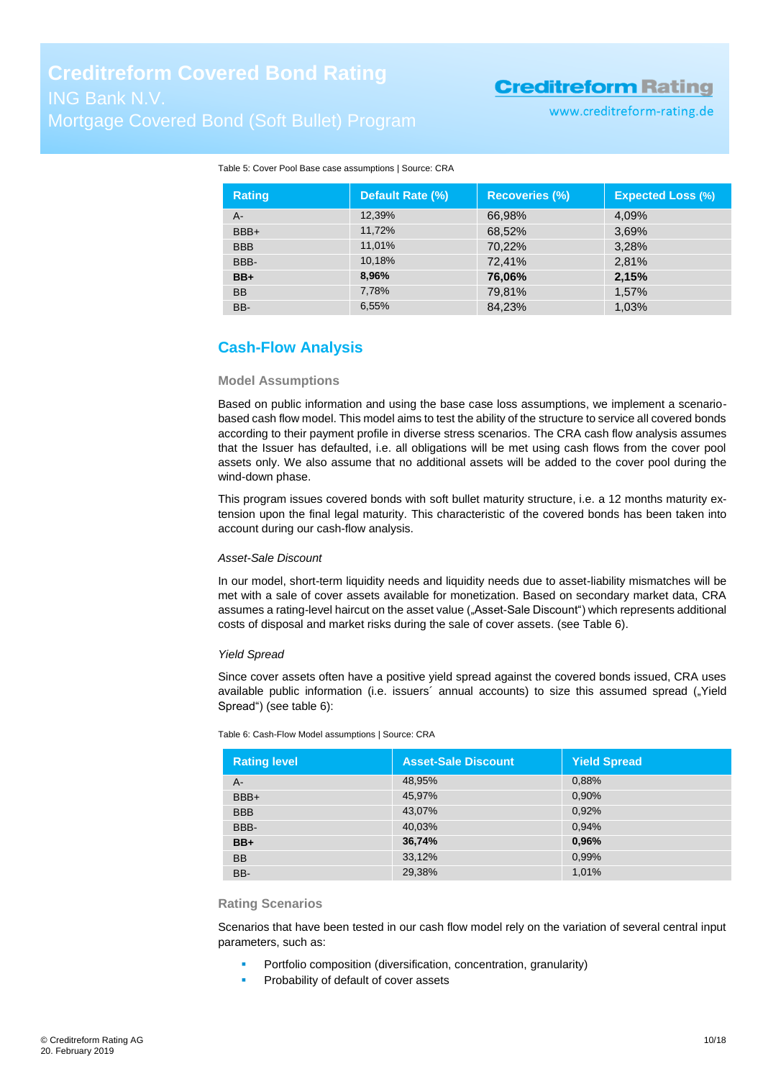www.creditreform-rating.de

| <b>Rating</b> | Default Rate (%) | <b>Recoveries (%)</b> | <b>Expected Loss (%)</b> |
|---------------|------------------|-----------------------|--------------------------|
| A-            | 12,39%           | 66,98%                | 4,09%                    |
| BBB+          | 11,72%           | 68,52%                | 3,69%                    |
| <b>BBB</b>    | 11,01%           | 70,22%                | 3,28%                    |
| BBB-          | 10,18%           | 72,41%                | 2,81%                    |
| $BB+$         | 8,96%            | 76,06%                | 2,15%                    |
| <b>BB</b>     | 7,78%            | 79,81%                | 1,57%                    |
| BB-           | 6,55%            | 84.23%                | 1,03%                    |

#### <span id="page-9-1"></span>Table 5: Cover Pool Base case assumptions | Source: CRA

### <span id="page-9-0"></span>**Cash-Flow Analysis**

#### **Model Assumptions**

Based on public information and using the base case loss assumptions, we implement a scenariobased cash flow model. This model aims to test the ability of the structure to service all covered bonds according to their payment profile in diverse stress scenarios. The CRA cash flow analysis assumes that the Issuer has defaulted, i.e. all obligations will be met using cash flows from the cover pool assets only. We also assume that no additional assets will be added to the cover pool during the wind-down phase.

This program issues covered bonds with soft bullet maturity structure, i.e. a 12 months maturity extension upon the final legal maturity. This characteristic of the covered bonds has been taken into account during our cash-flow analysis.

#### *Asset-Sale Discount*

In our model, short-term liquidity needs and liquidity needs due to asset-liability mismatches will be met with a sale of cover assets available for monetization. Based on secondary market data, CRA assumes a rating-level haircut on the asset value ("Asset-Sale Discount") which represents additional costs of disposal and market risks during the sale of cover assets. (see [Table 6\)](#page-9-2).

#### *Yield Spread*

Since cover assets often have a positive yield spread against the covered bonds issued, CRA uses available public information (i.e. issuers' annual accounts) to size this assumed spread ("Yield Spread") (see [table 6\)](#page-9-2):

| <b>Rating level</b> | <b>Asset-Sale Discount</b> | <b>Yield Spread</b> |
|---------------------|----------------------------|---------------------|
| A-                  | 48,95%                     | 0,88%               |
| BBB+                | 45,97%                     | 0,90%               |
| <b>BBB</b>          | 43,07%                     | 0,92%               |
| BBB-                | 40,03%                     | 0,94%               |
| $BB+$               | 36,74%                     | 0,96%               |
| <b>BB</b>           | 33,12%                     | 0,99%               |
| BB-                 | 29,38%                     | 1.01%               |

<span id="page-9-2"></span>Table 6: Cash-Flow Model assumptions | Source: CRA

#### **Rating Scenarios**

Scenarios that have been tested in our cash flow model rely on the variation of several central input parameters, such as:

- Portfolio composition (diversification, concentration, granularity)
- Probability of default of cover assets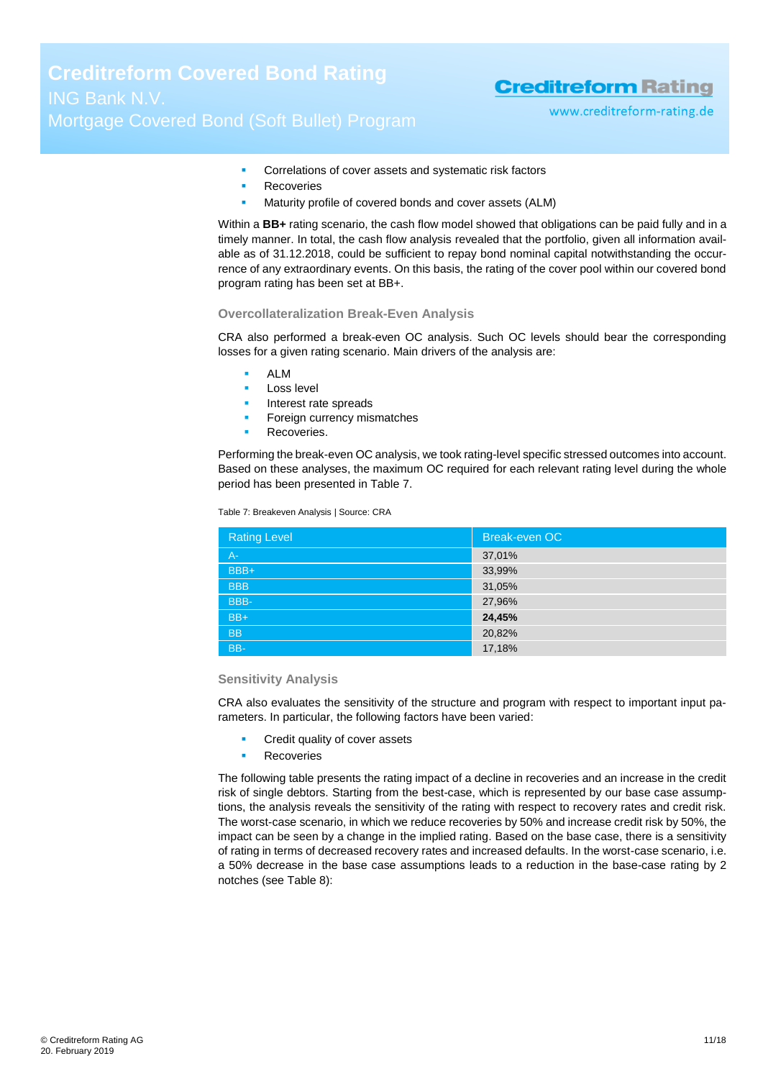www.creditreform-rating.de

- Correlations of cover assets and systematic risk factors
- Recoveries
- **Maturity profile of covered bonds and cover assets (ALM)**

Within a **BB+** rating scenario, the cash flow model showed that obligations can be paid fully and in a timely manner. In total, the cash flow analysis revealed that the portfolio, given all information available as of 31.12.2018, could be sufficient to repay bond nominal capital notwithstanding the occurrence of any extraordinary events. On this basis, the rating of the cover pool within our covered bond program rating has been set at BB+.

#### **Overcollateralization Break-Even Analysis**

CRA also performed a break-even OC analysis. Such OC levels should bear the corresponding losses for a given rating scenario. Main drivers of the analysis are:

- ALM
- Loss level
- Interest rate spreads
- Foreign currency mismatches
- Recoveries.

Performing the break-even OC analysis, we took rating-level specific stressed outcomes into account. Based on these analyses, the maximum OC required for each relevant rating level during the whole period has been presented in [Table 7.](#page-10-0)

<span id="page-10-0"></span>Table 7: Breakeven Analysis | Source: CRA

| <b>Rating Level</b> | Break-even OC |
|---------------------|---------------|
| $A -$               | 37,01%        |
| BBB+                | 33,99%        |
| <b>BBB</b>          | 31,05%        |
| BBB-                | 27,96%        |
| $BB+$               | 24,45%        |
| <b>BB</b>           | 20,82%        |
| BB-                 | 17,18%        |

#### **Sensitivity Analysis**

CRA also evaluates the sensitivity of the structure and program with respect to important input parameters. In particular, the following factors have been varied:

- Credit quality of cover assets
- Recoveries

The following table presents the rating impact of a decline in recoveries and an increase in the credit risk of single debtors. Starting from the best-case, which is represented by our base case assumptions, the analysis reveals the sensitivity of the rating with respect to recovery rates and credit risk. The worst-case scenario, in which we reduce recoveries by 50% and increase credit risk by 50%, the impact can be seen by a change in the implied rating. Based on the base case, there is a sensitivity of rating in terms of decreased recovery rates and increased defaults. In the worst-case scenario, i.e. a 50% decrease in the base case assumptions leads to a reduction in the base-case rating by 2 notches (see [Table 8\)](#page-11-1):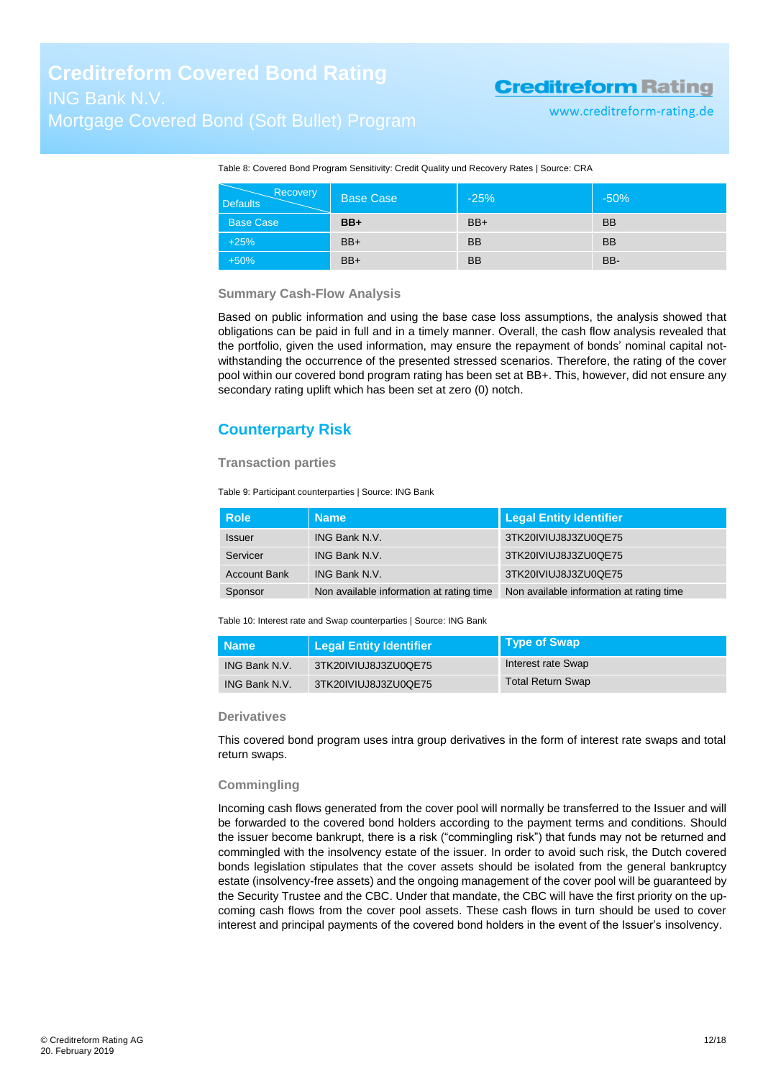www.creditreform-rating.de

<span id="page-11-1"></span>Table 8: Covered Bond Program Sensitivity: Credit Quality und Recovery Rates | Source: CRA

| Recovery<br><b>Defaults</b> | <b>Base Case</b> | $-25%$    | $-50%$    |
|-----------------------------|------------------|-----------|-----------|
| <b>Base Case</b>            | $BB+$            | $BB+$     | <b>BB</b> |
| $+25%$                      | $BB+$            | <b>BB</b> | <b>BB</b> |
| $+50%$                      | $BB+$            | <b>BB</b> | BB-       |

#### **Summary Cash-Flow Analysis**

Based on public information and using the base case loss assumptions, the analysis showed that obligations can be paid in full and in a timely manner. Overall, the cash flow analysis revealed that the portfolio, given the used information, may ensure the repayment of bonds' nominal capital notwithstanding the occurrence of the presented stressed scenarios. Therefore, the rating of the cover pool within our covered bond program rating has been set at BB+. This, however, did not ensure any secondary rating uplift which has been set at zero (0) notch.

### <span id="page-11-0"></span>**Counterparty Risk**

#### **Transaction parties**

Table 9: Participant counterparties | Source: ING Bank

| l Role              | <b>Name</b>                              | Legal Entity Identifier                  |
|---------------------|------------------------------------------|------------------------------------------|
| <b>Issuer</b>       | ING Bank N.V.                            | 3TK20IVIUJ8J3ZU0QE75                     |
| Servicer            | <b>ING Bank N.V.</b>                     | 3TK20IVIUJ8J3ZU0QE75                     |
| <b>Account Bank</b> | ING Bank N.V.                            | 3TK20IVIUJ8J3ZU0QE75                     |
| Sponsor             | Non available information at rating time | Non available information at rating time |

Table 10: Interest rate and Swap counterparties | Source: ING Bank

| <b>Name</b>          | Legal Entity Identifier | Type of Swap             |
|----------------------|-------------------------|--------------------------|
| <b>ING Bank N.V.</b> | 3TK20IVIUJ8J3ZU0QE75    | Interest rate Swap       |
| <b>ING Bank N.V.</b> | 3TK20IVIUJ8J3ZU0QE75    | <b>Total Return Swap</b> |

#### **Derivatives**

This covered bond program uses intra group derivatives in the form of interest rate swaps and total return swaps.

#### **Commingling**

Incoming cash flows generated from the cover pool will normally be transferred to the Issuer and will be forwarded to the covered bond holders according to the payment terms and conditions. Should the issuer become bankrupt, there is a risk ("commingling risk") that funds may not be returned and commingled with the insolvency estate of the issuer. In order to avoid such risk, the Dutch covered bonds legislation stipulates that the cover assets should be isolated from the general bankruptcy estate (insolvency-free assets) and the ongoing management of the cover pool will be guaranteed by the Security Trustee and the CBC. Under that mandate, the CBC will have the first priority on the upcoming cash flows from the cover pool assets. These cash flows in turn should be used to cover interest and principal payments of the covered bond holders in the event of the Issuer's insolvency.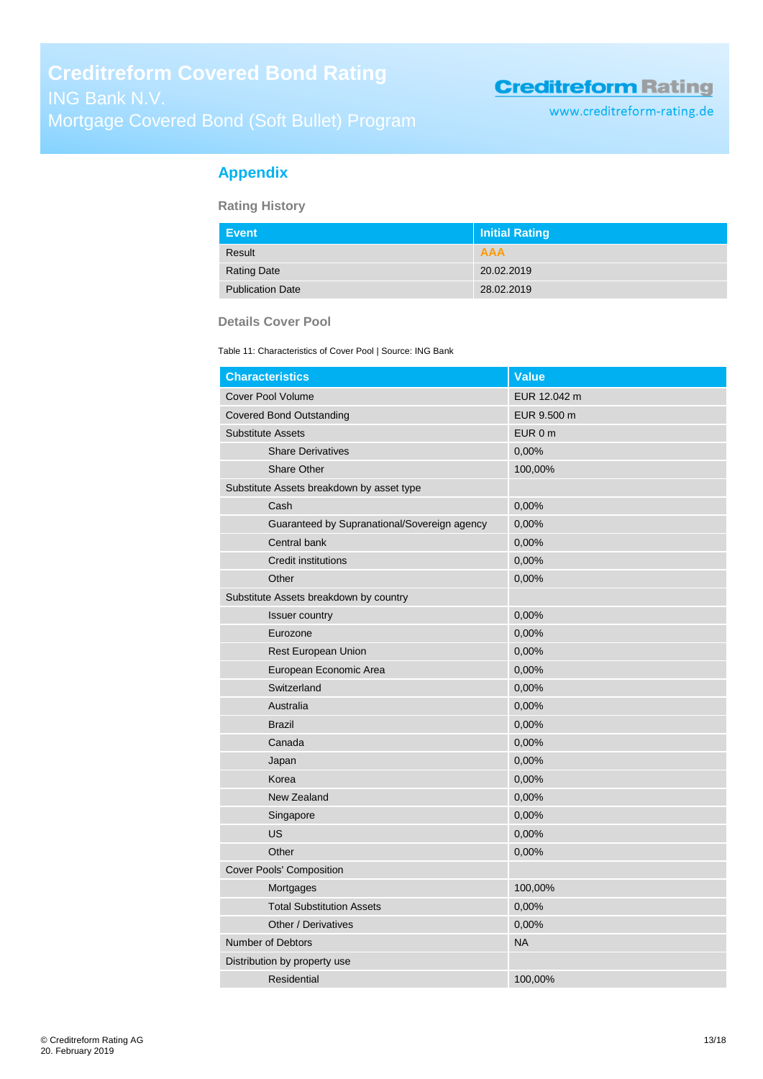www.creditreform-rating.de

### <span id="page-12-0"></span>**Appendix**

**Rating History**

| Event                   | <b>Initial Rating</b> |
|-------------------------|-----------------------|
| Result                  | <b>AAA</b>            |
| <b>Rating Date</b>      | 20.02.2019            |
| <b>Publication Date</b> | 28.02.2019            |

#### **Details Cover Pool**

Table 11: Characteristics of Cover Pool | Source: ING Bank

| <b>Characteristics</b>                       | <b>Value</b> |
|----------------------------------------------|--------------|
| <b>Cover Pool Volume</b>                     | EUR 12.042 m |
| <b>Covered Bond Outstanding</b>              | EUR 9.500 m  |
| <b>Substitute Assets</b>                     | EUR 0 m      |
| <b>Share Derivatives</b>                     | 0,00%        |
| Share Other                                  | 100,00%      |
| Substitute Assets breakdown by asset type    |              |
| Cash                                         | 0,00%        |
| Guaranteed by Supranational/Sovereign agency | 0,00%        |
| Central bank                                 | 0,00%        |
| <b>Credit institutions</b>                   | 0,00%        |
| Other                                        | 0,00%        |
| Substitute Assets breakdown by country       |              |
| <b>Issuer country</b>                        | 0,00%        |
| Eurozone                                     | 0,00%        |
| Rest European Union                          | 0,00%        |
| European Economic Area                       | 0,00%        |
| Switzerland                                  | 0,00%        |
| Australia                                    | 0,00%        |
| <b>Brazil</b>                                | 0,00%        |
| Canada                                       | 0,00%        |
| Japan                                        | 0,00%        |
| Korea                                        | 0,00%        |
| New Zealand                                  | 0,00%        |
| Singapore                                    | 0,00%        |
| <b>US</b>                                    | 0,00%        |
| Other                                        | 0,00%        |
| <b>Cover Pools' Composition</b>              |              |
| Mortgages                                    | 100,00%      |
| <b>Total Substitution Assets</b>             | 0,00%        |
| Other / Derivatives                          | 0,00%        |
| <b>Number of Debtors</b>                     | <b>NA</b>    |
| Distribution by property use                 |              |
| Residential                                  | 100,00%      |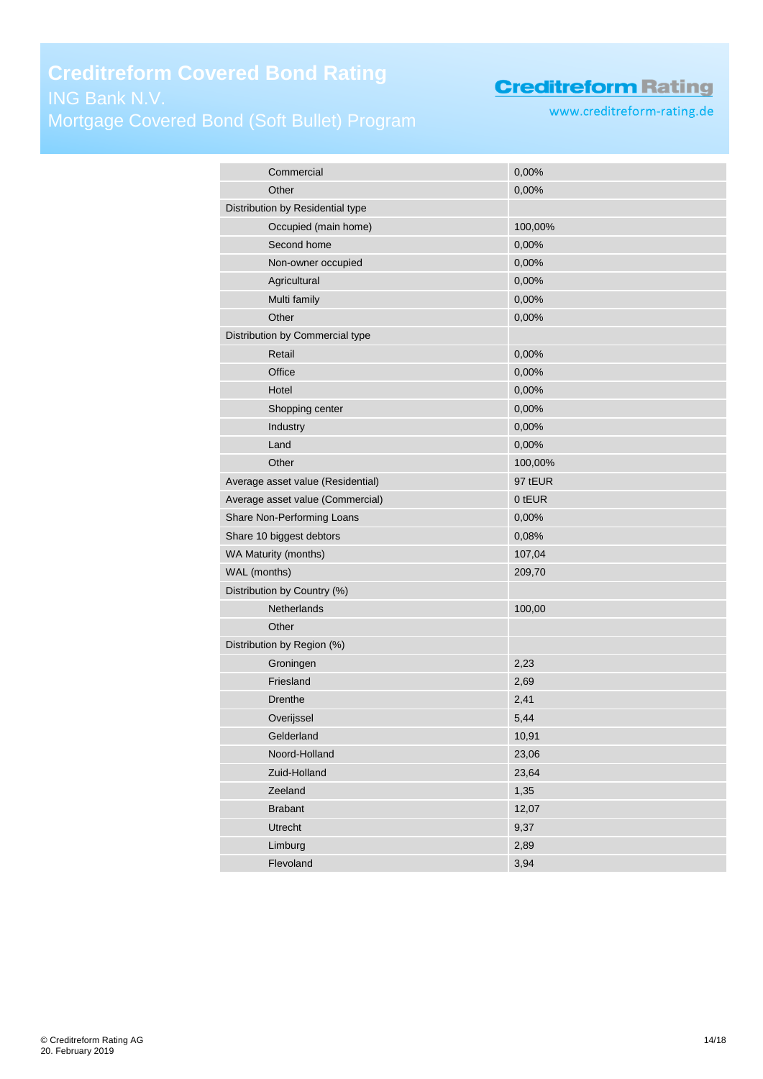# **Creditreform Covered Bond Rating** Mortgage Covered Bond (Soft Bullet) Program

# **Creditreform Rating**

www.creditreform-rating.de

| Commercial                        | 0,00%   |
|-----------------------------------|---------|
| Other                             | 0,00%   |
| Distribution by Residential type  |         |
| Occupied (main home)              | 100,00% |
| Second home                       | 0,00%   |
| Non-owner occupied                | 0,00%   |
| Agricultural                      | 0,00%   |
| Multi family                      | 0,00%   |
| Other                             | 0,00%   |
| Distribution by Commercial type   |         |
| Retail                            | 0,00%   |
| Office                            | 0,00%   |
| Hotel                             | 0,00%   |
| Shopping center                   | 0,00%   |
| Industry                          | 0,00%   |
| Land                              | 0,00%   |
| Other                             | 100,00% |
| Average asset value (Residential) | 97 tEUR |
| Average asset value (Commercial)  | 0 tEUR  |
| Share Non-Performing Loans        | 0,00%   |
| Share 10 biggest debtors          | 0,08%   |
| WA Maturity (months)              | 107,04  |
| WAL (months)                      | 209,70  |
| Distribution by Country (%)       |         |
| Netherlands                       | 100,00  |
| Other                             |         |
| Distribution by Region (%)        |         |
| Groningen                         | 2,23    |
| Friesland                         | 2,69    |
| Drenthe                           | 2,41    |
| Overijssel                        | 5,44    |
| Gelderland                        | 10,91   |
| Noord-Holland                     | 23,06   |
| Zuid-Holland                      | 23,64   |
| Zeeland                           | 1,35    |
| <b>Brabant</b>                    | 12,07   |
| <b>Utrecht</b>                    | 9,37    |
| Limburg                           | 2,89    |
| Flevoland                         | 3,94    |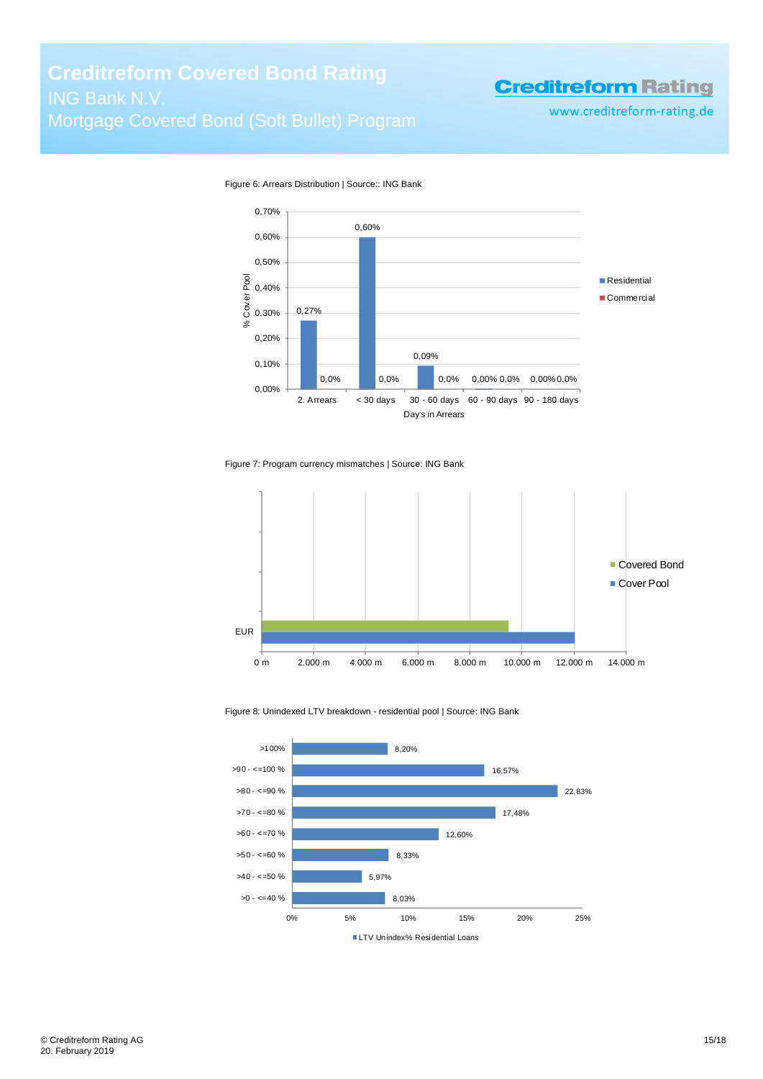www.creditreform-rating.de



Figure 6: Arrears Distribution | Source:: ING Bank

Figure 7: Program currency mismatches | Source: ING Bank



Figure 8: Unindexed LTV breakdown - residential pool | Source: ING Bank

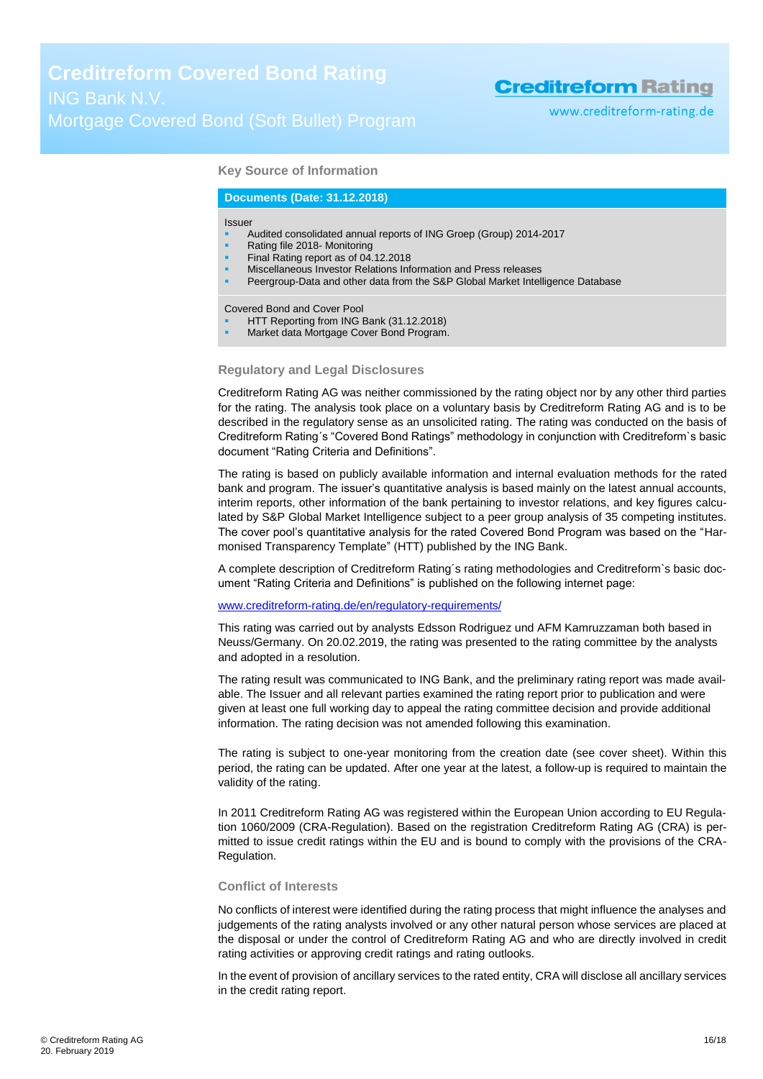www.creditreform-rating.de

#### **Key Source of Information**

#### **Documents (Date: 31.12.2018)**

#### Issuer

- Audited consolidated annual reports of ING Groep (Group) 2014-2017
- Rating file 2018- Monitoring
- Final Rating report as of 04.12.2018
- Miscellaneous Investor Relations Information and Press releases
- Peergroup-Data and other data from the S&P Global Market Intelligence Database

Covered Bond and Cover Pool

- HTT Reporting from ING Bank (31.12.2018)
- Market data Mortgage Cover Bond Program.

#### **Regulatory and Legal Disclosures**

Creditreform Rating AG was neither commissioned by the rating object nor by any other third parties for the rating. The analysis took place on a voluntary basis by Creditreform Rating AG and is to be described in the regulatory sense as an unsolicited rating. The rating was conducted on the basis of Creditreform Rating´s "Covered Bond Ratings" methodology in conjunction with Creditreform`s basic document "Rating Criteria and Definitions".

The rating is based on publicly available information and internal evaluation methods for the rated bank and program. The issuer's quantitative analysis is based mainly on the latest annual accounts, interim reports, other information of the bank pertaining to investor relations, and key figures calculated by S&P Global Market Intelligence subject to a peer group analysis of 35 competing institutes. The cover pool's quantitative analysis for the rated Covered Bond Program was based on the "Harmonised Transparency Template" (HTT) published by the ING Bank.

A complete description of Creditreform Rating´s rating methodologies and Creditreform`s basic document "Rating Criteria and Definitions" is published on the following internet page:

#### [www.creditreform-rating.de/](http://www.creditreform-rating.de/)en/regulatory-requirements/

This rating was carried out by analysts Edsson Rodriguez und AFM Kamruzzaman both based in Neuss/Germany. On 20.02.2019, the rating was presented to the rating committee by the analysts and adopted in a resolution.

The rating result was communicated to ING Bank, and the preliminary rating report was made available. The Issuer and all relevant parties examined the rating report prior to publication and were given at least one full working day to appeal the rating committee decision and provide additional information. The rating decision was not amended following this examination.

The rating is subject to one-year monitoring from the creation date (see cover sheet). Within this period, the rating can be updated. After one year at the latest, a follow-up is required to maintain the validity of the rating.

In 2011 Creditreform Rating AG was registered within the European Union according to EU Regulation 1060/2009 (CRA-Regulation). Based on the registration Creditreform Rating AG (CRA) is permitted to issue credit ratings within the EU and is bound to comply with the provisions of the CRA-Regulation.

#### **Conflict of Interests**

No conflicts of interest were identified during the rating process that might influence the analyses and judgements of the rating analysts involved or any other natural person whose services are placed at the disposal or under the control of Creditreform Rating AG and who are directly involved in credit rating activities or approving credit ratings and rating outlooks.

In the event of provision of ancillary services to the rated entity, CRA will disclose all ancillary services in the credit rating report.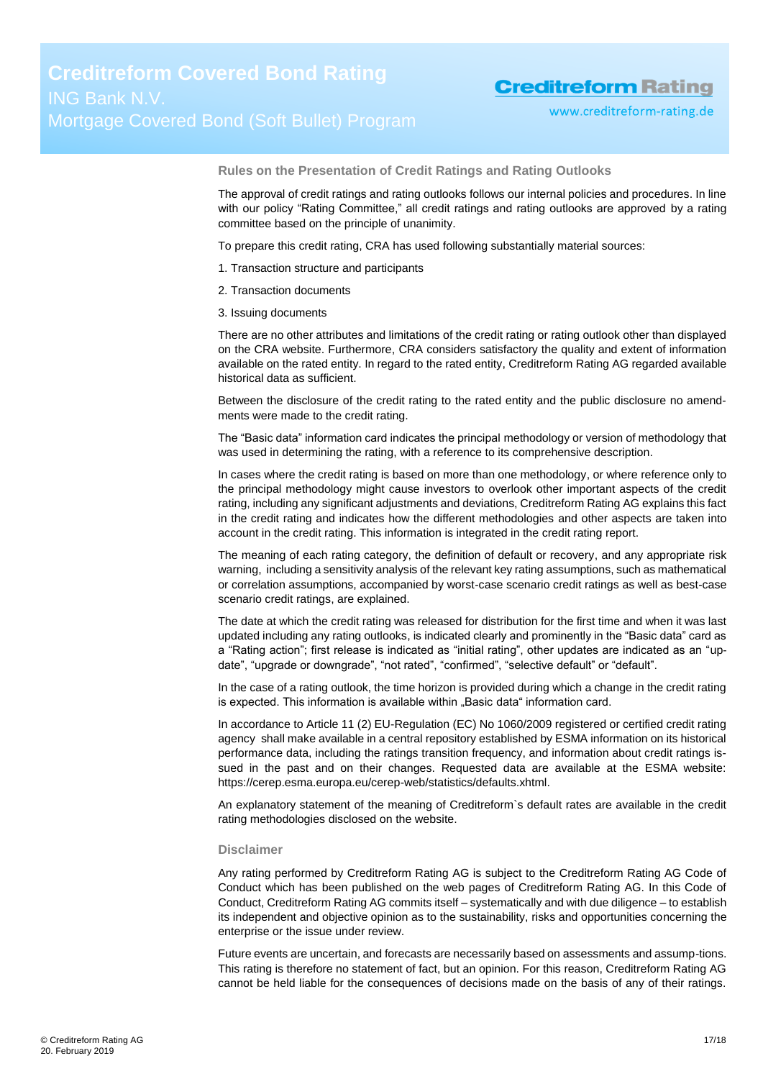**Rules on the Presentation of Credit Ratings and Rating Outlooks**

The approval of credit ratings and rating outlooks follows our internal policies and procedures. In line with our policy "Rating Committee," all credit ratings and rating outlooks are approved by a rating committee based on the principle of unanimity.

To prepare this credit rating, CRA has used following substantially material sources:

- 1. Transaction structure and participants
- 2. Transaction documents
- 3. Issuing documents

There are no other attributes and limitations of the credit rating or rating outlook other than displayed on the CRA website. Furthermore, CRA considers satisfactory the quality and extent of information available on the rated entity. In regard to the rated entity, Creditreform Rating AG regarded available historical data as sufficient.

Between the disclosure of the credit rating to the rated entity and the public disclosure no amendments were made to the credit rating.

The "Basic data" information card indicates the principal methodology or version of methodology that was used in determining the rating, with a reference to its comprehensive description.

In cases where the credit rating is based on more than one methodology, or where reference only to the principal methodology might cause investors to overlook other important aspects of the credit rating, including any significant adjustments and deviations, Creditreform Rating AG explains this fact in the credit rating and indicates how the different methodologies and other aspects are taken into account in the credit rating. This information is integrated in the credit rating report.

The meaning of each rating category, the definition of default or recovery, and any appropriate risk warning, including a sensitivity analysis of the relevant key rating assumptions, such as mathematical or correlation assumptions, accompanied by worst-case scenario credit ratings as well as best-case scenario credit ratings, are explained.

The date at which the credit rating was released for distribution for the first time and when it was last updated including any rating outlooks, is indicated clearly and prominently in the "Basic data" card as a "Rating action"; first release is indicated as "initial rating", other updates are indicated as an "update", "upgrade or downgrade", "not rated", "confirmed", "selective default" or "default".

In the case of a rating outlook, the time horizon is provided during which a change in the credit rating is expected. This information is available within "Basic data" information card.

In accordance to Article 11 (2) EU-Regulation (EC) No 1060/2009 registered or certified credit rating agency shall make available in a central repository established by ESMA information on its historical performance data, including the ratings transition frequency, and information about credit ratings issued in the past and on their changes. Requested data are available at the ESMA website: https://cerep.esma.europa.eu/cerep-web/statistics/defaults.xhtml.

An explanatory statement of the meaning of Creditreform`s default rates are available in the credit rating methodologies disclosed on the website.

#### **Disclaimer**

Any rating performed by Creditreform Rating AG is subject to the Creditreform Rating AG Code of Conduct which has been published on the web pages of Creditreform Rating AG. In this Code of Conduct, Creditreform Rating AG commits itself – systematically and with due diligence – to establish its independent and objective opinion as to the sustainability, risks and opportunities concerning the enterprise or the issue under review.

Future events are uncertain, and forecasts are necessarily based on assessments and assump-tions. This rating is therefore no statement of fact, but an opinion. For this reason, Creditreform Rating AG cannot be held liable for the consequences of decisions made on the basis of any of their ratings.